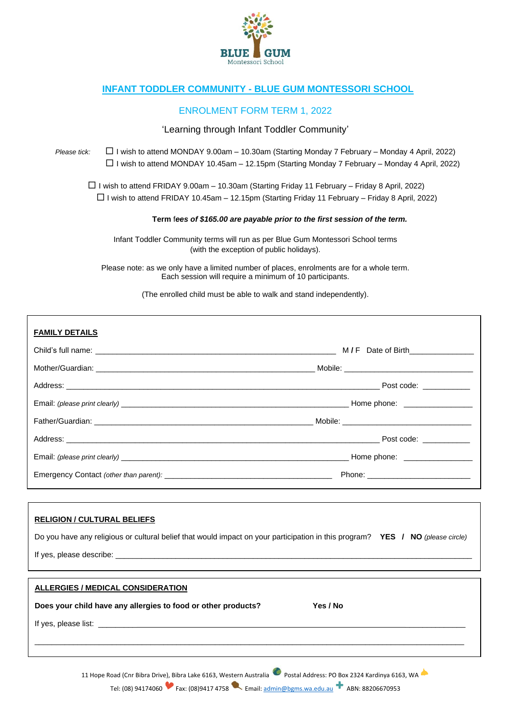

# **INFANT TODDLER COMMUNITY - BLUE GUM MONTESSORI SCHOOL**

# ENROLMENT FORM TERM 1, 2022

### 'Learning through Infant Toddler Community'

*Please tick:* I wish to attend MONDAY 9.00am – 10.30am (Starting Monday 7 February – Monday 4 April, 2022) I wish to attend MONDAY 10.45am – 12.15pm (Starting Monday 7 February – Monday 4 April, 2022)

 $\Box$  I wish to attend FRIDAY 9.00am – 10.30am (Starting Friday 11 February – Friday 8 April, 2022)  $\Box$  I wish to attend FRIDAY 10.45am – 12.15pm (Starting Friday 11 February – Friday 8 April, 2022)

**Term** f*ees of \$165.00 are payable prior to the first session of the term.*

Infant Toddler Community terms will run as per Blue Gum Montessori School terms (with the exception of public holidays).

Please note: as we only have a limited number of places, enrolments are for a whole term. Each session will require a minimum of 10 participants.

(The enrolled child must be able to walk and stand independently).

#### **RELIGION / CULTURAL BELIEFS**

| Do you have any religious or cultural belief that would impact on your participation in this program? YES / NO (please circle) |  |
|--------------------------------------------------------------------------------------------------------------------------------|--|
|                                                                                                                                |  |

| If yes<br>niease |  |
|------------------|--|
|                  |  |

| Yes / No |  |
|----------|--|
|          |  |
|          |  |
|          |  |

11 Hope Road (Cnr Bibra Drive), Bibra Lake 6163, Western Australia **Postal Address: PO Box 2324 Kardinya 6163, WA** Tel: (08) 94174060 Fax: (08) 9417 4758 Email[: admin@bgms.wa.edu.au](mailto:admin@bgms.wa.edu.au) ABN: 88206670953